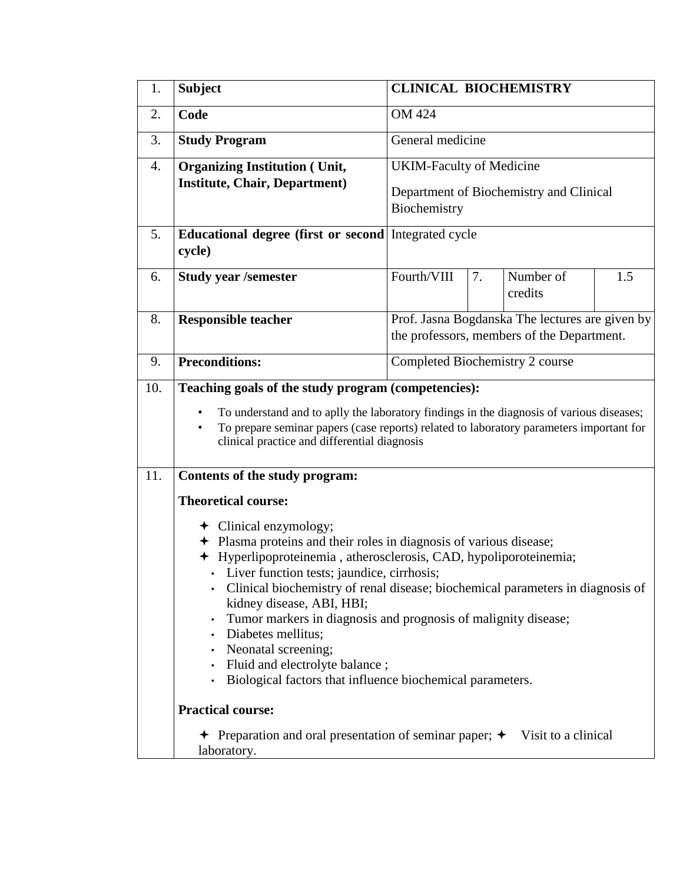| <b>OM 424</b><br>2.<br>Code<br><b>Study Program</b><br>General medicine<br>3.<br><b>UKIM-Faculty of Medicine</b><br><b>Organizing Institution (Unit,</b><br>4.<br><b>Institute, Chair, Department)</b><br>Department of Biochemistry and Clinical<br>Biochemistry<br><b>Educational degree (first or second Integrated cycle</b><br>5.<br>cycle)<br>Fourth/VIII<br>Number of<br>7.<br>6.<br><b>Study year /semester</b><br>credits<br>8.<br><b>Responsible teacher</b><br><b>Preconditions:</b><br>Completed Biochemistry 2 course<br>9.<br>Teaching goals of the study program (competencies):<br>10.<br>$\bullet$<br>clinical practice and differential diagnosis<br>11.<br>Contents of the study program:<br><b>Theoretical course:</b><br>$\div$ Clinical enzymology;<br>+ Plasma proteins and their roles in diagnosis of various disease;<br>+ Hyperlipoproteinemia, atherosclerosis, CAD, hypoliporoteinemia;<br>Liver function tests; jaundice, cirrhosis;<br>Clinical biochemistry of renal disease; biochemical parameters in diagnosis of<br>kidney disease, ABI, HBI;<br>Tumor markers in diagnosis and prognosis of malignity disease;<br>Diabetes mellitus;<br>٠<br>Neonatal screening; | 1. | <b>Subject</b>                                                                                                                                                                      | <b>CLINICAL BIOCHEMISTRY</b>                                                                  |  |  |     |  |  |
|-------------------------------------------------------------------------------------------------------------------------------------------------------------------------------------------------------------------------------------------------------------------------------------------------------------------------------------------------------------------------------------------------------------------------------------------------------------------------------------------------------------------------------------------------------------------------------------------------------------------------------------------------------------------------------------------------------------------------------------------------------------------------------------------------------------------------------------------------------------------------------------------------------------------------------------------------------------------------------------------------------------------------------------------------------------------------------------------------------------------------------------------------------------------------------------------------------|----|-------------------------------------------------------------------------------------------------------------------------------------------------------------------------------------|-----------------------------------------------------------------------------------------------|--|--|-----|--|--|
|                                                                                                                                                                                                                                                                                                                                                                                                                                                                                                                                                                                                                                                                                                                                                                                                                                                                                                                                                                                                                                                                                                                                                                                                       |    |                                                                                                                                                                                     |                                                                                               |  |  |     |  |  |
|                                                                                                                                                                                                                                                                                                                                                                                                                                                                                                                                                                                                                                                                                                                                                                                                                                                                                                                                                                                                                                                                                                                                                                                                       |    |                                                                                                                                                                                     |                                                                                               |  |  |     |  |  |
|                                                                                                                                                                                                                                                                                                                                                                                                                                                                                                                                                                                                                                                                                                                                                                                                                                                                                                                                                                                                                                                                                                                                                                                                       |    |                                                                                                                                                                                     |                                                                                               |  |  |     |  |  |
|                                                                                                                                                                                                                                                                                                                                                                                                                                                                                                                                                                                                                                                                                                                                                                                                                                                                                                                                                                                                                                                                                                                                                                                                       |    |                                                                                                                                                                                     |                                                                                               |  |  |     |  |  |
|                                                                                                                                                                                                                                                                                                                                                                                                                                                                                                                                                                                                                                                                                                                                                                                                                                                                                                                                                                                                                                                                                                                                                                                                       |    |                                                                                                                                                                                     |                                                                                               |  |  |     |  |  |
|                                                                                                                                                                                                                                                                                                                                                                                                                                                                                                                                                                                                                                                                                                                                                                                                                                                                                                                                                                                                                                                                                                                                                                                                       |    |                                                                                                                                                                                     |                                                                                               |  |  | 1.5 |  |  |
|                                                                                                                                                                                                                                                                                                                                                                                                                                                                                                                                                                                                                                                                                                                                                                                                                                                                                                                                                                                                                                                                                                                                                                                                       |    |                                                                                                                                                                                     | Prof. Jasna Bogdanska The lectures are given by<br>the professors, members of the Department. |  |  |     |  |  |
|                                                                                                                                                                                                                                                                                                                                                                                                                                                                                                                                                                                                                                                                                                                                                                                                                                                                                                                                                                                                                                                                                                                                                                                                       |    |                                                                                                                                                                                     |                                                                                               |  |  |     |  |  |
|                                                                                                                                                                                                                                                                                                                                                                                                                                                                                                                                                                                                                                                                                                                                                                                                                                                                                                                                                                                                                                                                                                                                                                                                       |    | To understand and to aplly the laboratory findings in the diagnosis of various diseases;<br>To prepare seminar papers (case reports) related to laboratory parameters important for |                                                                                               |  |  |     |  |  |
|                                                                                                                                                                                                                                                                                                                                                                                                                                                                                                                                                                                                                                                                                                                                                                                                                                                                                                                                                                                                                                                                                                                                                                                                       |    |                                                                                                                                                                                     |                                                                                               |  |  |     |  |  |
| ٠<br>Fluid and electrolyte balance;<br>Biological factors that influence biochemical parameters.<br><b>Practical course:</b><br>+ Preparation and oral presentation of seminar paper; + Visit to a clinical<br>laboratory.                                                                                                                                                                                                                                                                                                                                                                                                                                                                                                                                                                                                                                                                                                                                                                                                                                                                                                                                                                            |    |                                                                                                                                                                                     |                                                                                               |  |  |     |  |  |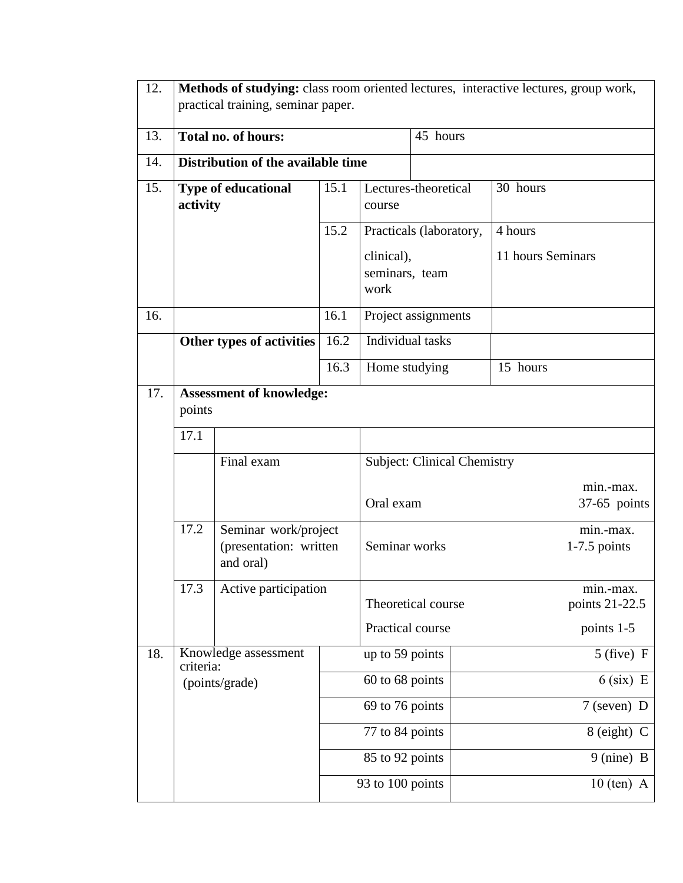| 12.              | Methods of studying: class room oriented lectures, interactive lectures, group work,<br>practical training, seminar paper. |                                    |                                    |                                                           |                             |              |                             |  |
|------------------|----------------------------------------------------------------------------------------------------------------------------|------------------------------------|------------------------------------|-----------------------------------------------------------|-----------------------------|--------------|-----------------------------|--|
| 13.              |                                                                                                                            | <b>Total no. of hours:</b>         |                                    | 45 hours                                                  |                             |              |                             |  |
| 14.              |                                                                                                                            | Distribution of the available time |                                    |                                                           |                             |              |                             |  |
| 15.              | <b>Type of educational</b><br>activity                                                                                     |                                    | 15.1                               | Lectures-theoretical<br>course<br>Practicals (laboratory, |                             |              | 30 hours                    |  |
|                  |                                                                                                                            |                                    | 15.2                               |                                                           |                             |              | 4 hours                     |  |
|                  |                                                                                                                            |                                    |                                    | clinical),<br>seminars, team<br>work                      |                             |              | 11 hours Seminars           |  |
| 16.              |                                                                                                                            |                                    | 16.1                               |                                                           | Project assignments         |              |                             |  |
|                  | Other types of activities                                                                                                  |                                    | 16.2                               | Individual tasks                                          |                             |              |                             |  |
|                  |                                                                                                                            |                                    | 16.3                               | Home studying                                             |                             |              | 15 hours                    |  |
| 17.              | <b>Assessment of knowledge:</b><br>points<br>17.1<br>Final exam                                                            |                                    |                                    |                                                           |                             |              |                             |  |
|                  |                                                                                                                            |                                    |                                    |                                                           |                             |              |                             |  |
|                  |                                                                                                                            |                                    | <b>Subject: Clinical Chemistry</b> |                                                           |                             |              |                             |  |
|                  |                                                                                                                            |                                    |                                    | Oral exam                                                 |                             |              | min.-max.<br>$37-65$ points |  |
|                  | 17.2<br>Seminar work/project<br>(presentation: written<br>and oral)                                                        |                                    |                                    | Seminar works                                             | min.-max.<br>$1-7.5$ points |              |                             |  |
|                  | 17.3<br>Active participation                                                                                               |                                    |                                    |                                                           | Theoretical course          |              | min.-max.<br>points 21-22.5 |  |
|                  |                                                                                                                            |                                    | Practical course                   |                                                           | points 1-5                  |              |                             |  |
| 18.<br>criteria: |                                                                                                                            | Knowledge assessment               |                                    | up to 59 points                                           |                             |              | $5$ (five) F                |  |
|                  | (points/grade)                                                                                                             |                                    |                                    | 60 to 68 points                                           |                             |              | $6$ (six) E                 |  |
|                  |                                                                                                                            |                                    |                                    | 69 to 76 points                                           |                             |              | $7$ (seven) D               |  |
|                  |                                                                                                                            |                                    |                                    | 77 to 84 points                                           |                             |              | 8 (eight) C                 |  |
|                  |                                                                                                                            |                                    |                                    | 85 to 92 points                                           |                             |              | 9 (nine) B                  |  |
|                  |                                                                                                                            |                                    | 93 to 100 points                   |                                                           |                             | $10$ (ten) A |                             |  |